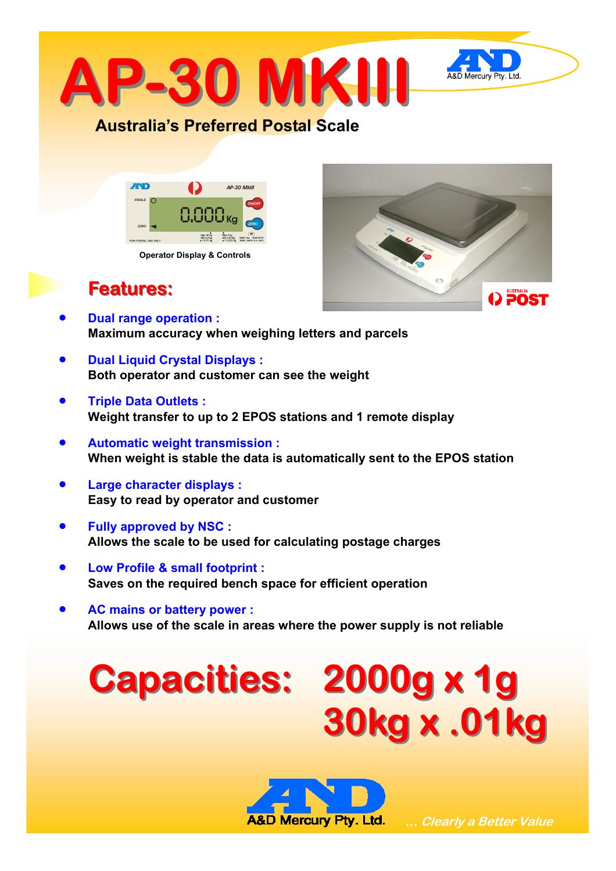

### **Australia's Preferred Postal Scale**



**Operator Display & Controls** 



## **Features: Features:**

- **Dual range operation : Maximum accuracy when weighing letters and parcels**
- **Dual Liquid Crystal Displays : Both operator and customer can see the weight**
- **Triple Data Outlets : Weight transfer to up to 2 EPOS stations and 1 remote display**
- **Automatic weight transmission : When weight is stable the data is automatically sent to the EPOS station**
- **Large character displays : Easy to read by operator and customer**
- **Fully approved by NSC : Allows the scale to be used for calculating postage charges**
- **Low Profile & small footprint : Saves on the required bench space for efficient operation**
- **AC mains or battery power : Allows use of the scale in areas where the power supply is not reliable**

# **Capacities: Capacities: 2000g x 1g 2000g x 1g 30kg x .01kg 30kg x .01kg**



 **… Clearly a Better Value**